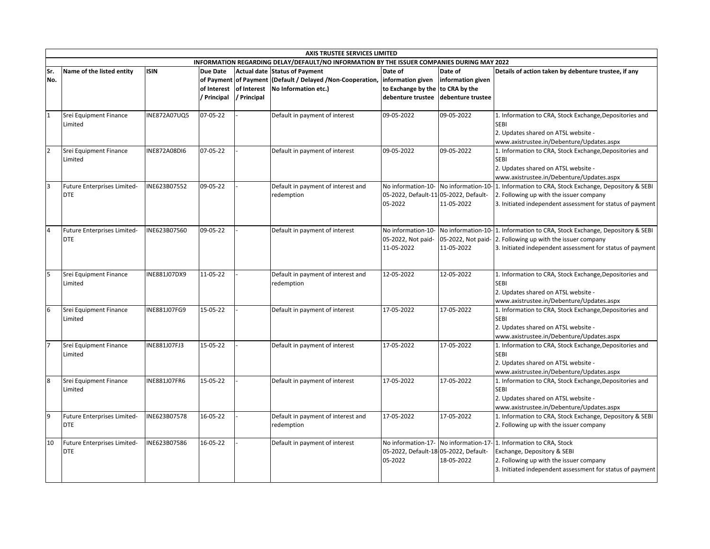|                | <b>AXIS TRUSTEE SERVICES LIMITED</b> |                     |             |             |                                                                                            |                                       |                   |                                                                            |  |  |  |
|----------------|--------------------------------------|---------------------|-------------|-------------|--------------------------------------------------------------------------------------------|---------------------------------------|-------------------|----------------------------------------------------------------------------|--|--|--|
|                |                                      |                     |             |             | INFORMATION REGARDING DELAY/DEFAULT/NO INFORMATION BY THE ISSUER COMPANIES DURING MAY 2022 |                                       |                   |                                                                            |  |  |  |
| Sr.            | Name of the listed entity            | <b>ISIN</b>         | Due Date    |             | <b>Actual date Status of Payment</b>                                                       | Date of                               | Date of           | Details of action taken by debenture trustee, if any                       |  |  |  |
| No.            |                                      |                     |             |             | of Payment of Payment (Default / Delayed / Non-Cooperation, information given              |                                       | information given |                                                                            |  |  |  |
|                |                                      |                     | of Interest | of Interest | No Information etc.)                                                                       | to Exchange by the                    | to CRA by the     |                                                                            |  |  |  |
|                |                                      |                     | / Principal | / Principal |                                                                                            | debenture trustee                     | debenture trustee |                                                                            |  |  |  |
|                |                                      |                     |             |             |                                                                                            |                                       |                   |                                                                            |  |  |  |
| $\mathbf{1}$   | Srei Equipment Finance               | INE872A07UQ5        | 07-05-22    |             | Default in payment of interest                                                             | 09-05-2022                            | 09-05-2022        | 1. Information to CRA, Stock Exchange, Depositories and                    |  |  |  |
|                | Limited                              |                     |             |             |                                                                                            |                                       |                   | <b>SEBI</b>                                                                |  |  |  |
|                |                                      |                     |             |             |                                                                                            |                                       |                   | 2. Updates shared on ATSL website -                                        |  |  |  |
|                |                                      |                     |             |             |                                                                                            |                                       |                   | www.axistrustee.in/Debenture/Updates.aspx                                  |  |  |  |
| $\overline{2}$ | Srei Equipment Finance               | <b>INE872A08DI6</b> | 07-05-22    |             | Default in payment of interest                                                             | 09-05-2022                            | 09-05-2022        | 1. Information to CRA, Stock Exchange, Depositories and                    |  |  |  |
|                | Limited                              |                     |             |             |                                                                                            |                                       |                   | <b>SEBI</b>                                                                |  |  |  |
|                |                                      |                     |             |             |                                                                                            |                                       |                   | 2. Updates shared on ATSL website -                                        |  |  |  |
|                |                                      |                     |             |             |                                                                                            |                                       |                   | www.axistrustee.in/Debenture/Updates.aspx                                  |  |  |  |
| <sup>3</sup>   | <b>Future Enterprises Limited-</b>   | INE623B07552        | 09-05-22    |             | Default in payment of interest and                                                         | No information-10-                    |                   | No information-10-1. Information to CRA, Stock Exchange, Depository & SEBI |  |  |  |
|                | <b>DTE</b>                           |                     |             |             | redemption                                                                                 | 05-2022, Default-11-05-2022, Default- |                   | 2. Following up with the issuer company                                    |  |  |  |
|                |                                      |                     |             |             |                                                                                            | 05-2022                               | 11-05-2022        | 3. Initiated independent assessment for status of payment                  |  |  |  |
|                |                                      |                     |             |             |                                                                                            |                                       |                   |                                                                            |  |  |  |
|                |                                      |                     |             |             |                                                                                            |                                       |                   |                                                                            |  |  |  |
| $\overline{4}$ | Future Enterprises Limited-          | INE623B07560        | 09-05-22    |             | Default in payment of interest                                                             | No information-10-                    |                   | No information-10-1. Information to CRA, Stock Exchange, Depository & SEBI |  |  |  |
|                | <b>DTE</b>                           |                     |             |             |                                                                                            | 05-2022, Not paid-                    |                   | 05-2022, Not paid- 2. Following up with the issuer company                 |  |  |  |
|                |                                      |                     |             |             |                                                                                            | 11-05-2022                            | 11-05-2022        | 3. Initiated independent assessment for status of payment                  |  |  |  |
|                |                                      |                     |             |             |                                                                                            |                                       |                   |                                                                            |  |  |  |
|                |                                      |                     |             |             |                                                                                            |                                       |                   |                                                                            |  |  |  |
| 5              | Srei Equipment Finance               | INE881J07DX9        | 11-05-22    |             | Default in payment of interest and                                                         | 12-05-2022                            | 12-05-2022        | 1. Information to CRA, Stock Exchange, Depositories and                    |  |  |  |
|                | Limited                              |                     |             |             | redemption                                                                                 |                                       |                   | <b>SEBI</b>                                                                |  |  |  |
|                |                                      |                     |             |             |                                                                                            |                                       |                   | 2. Updates shared on ATSL website -                                        |  |  |  |
|                |                                      |                     |             |             |                                                                                            |                                       |                   | www.axistrustee.in/Debenture/Updates.aspx                                  |  |  |  |
| 6              | Srei Equipment Finance               | INE881J07FG9        | 15-05-22    |             | Default in payment of interest                                                             | 17-05-2022                            | 17-05-2022        | 1. Information to CRA, Stock Exchange, Depositories and                    |  |  |  |
|                | Limited                              |                     |             |             |                                                                                            |                                       |                   | <b>SEBI</b>                                                                |  |  |  |
|                |                                      |                     |             |             |                                                                                            |                                       |                   | 2. Updates shared on ATSL website -                                        |  |  |  |
|                |                                      |                     |             |             |                                                                                            |                                       |                   | www.axistrustee.in/Debenture/Updates.aspx                                  |  |  |  |
|                | Srei Equipment Finance               | INE881J07FJ3        | 15-05-22    |             | Default in payment of interest                                                             | 17-05-2022                            | 17-05-2022        | 1. Information to CRA, Stock Exchange, Depositories and                    |  |  |  |
|                | Limited                              |                     |             |             |                                                                                            |                                       |                   | <b>SEBI</b>                                                                |  |  |  |
|                |                                      |                     |             |             |                                                                                            |                                       |                   | 2. Updates shared on ATSL website -                                        |  |  |  |
|                |                                      |                     |             |             |                                                                                            |                                       |                   | www.axistrustee.in/Debenture/Updates.aspx                                  |  |  |  |
| 8              | Srei Equipment Finance               | INE881J07FR6        | 15-05-22    |             | Default in payment of interest                                                             | 17-05-2022                            | 17-05-2022        | 1. Information to CRA, Stock Exchange, Depositories and                    |  |  |  |
|                | Limited                              |                     |             |             |                                                                                            |                                       |                   | <b>SEBI</b>                                                                |  |  |  |
|                |                                      |                     |             |             |                                                                                            |                                       |                   | 2. Updates shared on ATSL website -                                        |  |  |  |
|                |                                      |                     |             |             |                                                                                            |                                       |                   | www.axistrustee.in/Debenture/Updates.aspx                                  |  |  |  |
| l9             | Future Enterprises Limited-          | INE623B07578        | 16-05-22    |             | Default in payment of interest and                                                         | 17-05-2022                            | 17-05-2022        | 1. Information to CRA, Stock Exchange, Depository & SEBI                   |  |  |  |
|                | DTE                                  |                     |             |             | redemption                                                                                 |                                       |                   | 2. Following up with the issuer company                                    |  |  |  |
|                |                                      |                     |             |             |                                                                                            |                                       |                   |                                                                            |  |  |  |
| 10             | Future Enterprises Limited-          | INE623B07586        | 16-05-22    |             | Default in payment of interest                                                             |                                       |                   | No information-17- No information-17-1. Information to CRA, Stock          |  |  |  |
|                | <b>DTE</b>                           |                     |             |             |                                                                                            | 05-2022, Default-18-05-2022, Default- |                   | Exchange, Depository & SEBI                                                |  |  |  |
|                |                                      |                     |             |             |                                                                                            | 05-2022                               | 18-05-2022        | 2. Following up with the issuer company                                    |  |  |  |
|                |                                      |                     |             |             |                                                                                            |                                       |                   | 3. Initiated independent assessment for status of payment                  |  |  |  |
|                |                                      |                     |             |             |                                                                                            |                                       |                   |                                                                            |  |  |  |